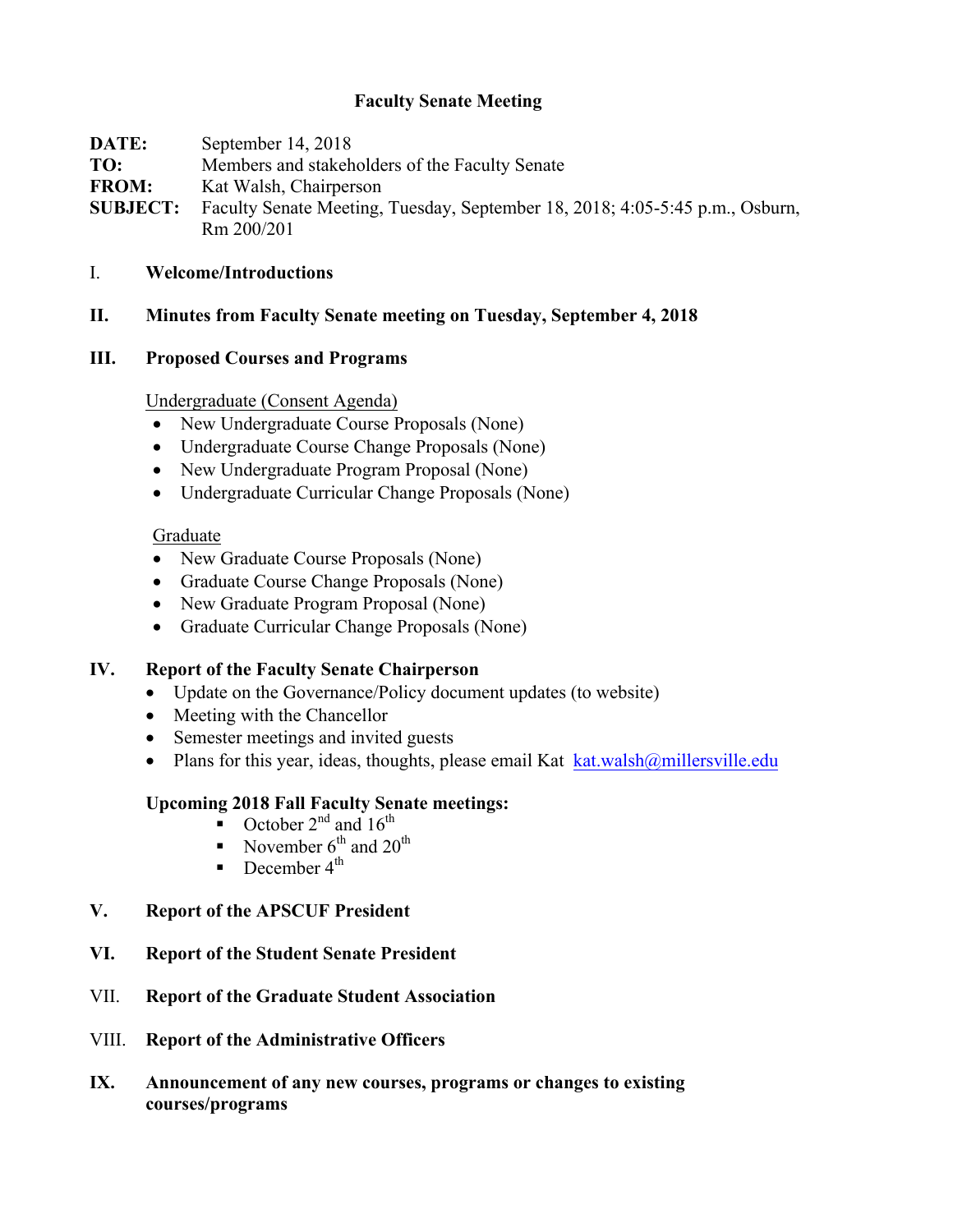### **Faculty Senate Meeting**

| DATE:           | September 14, 2018                                                           |
|-----------------|------------------------------------------------------------------------------|
| TO:             | Members and stakeholders of the Faculty Senate                               |
| <b>FROM:</b>    | Kat Walsh, Chairperson                                                       |
| <b>SUBJECT:</b> | Faculty Senate Meeting, Tuesday, September 18, 2018; 4:05-5:45 p.m., Osburn, |
|                 | Rm 200/201                                                                   |

#### I. **Welcome/Introductions**

**II. Minutes from Faculty Senate meeting on Tuesday, September 4, 2018**

#### **III. Proposed Courses and Programs**

#### Undergraduate (Consent Agenda)

- New Undergraduate Course Proposals (None)
- Undergraduate Course Change Proposals (None)
- New Undergraduate Program Proposal (None)
- Undergraduate Curricular Change Proposals (None)

#### Graduate

- New Graduate Course Proposals (None)
- Graduate Course Change Proposals (None)
- New Graduate Program Proposal (None)
- Graduate Curricular Change Proposals (None)

#### **IV. Report of the Faculty Senate Chairperson**

- Update on the Governance/Policy document updates (to website)
- Meeting with the Chancellor
- Semester meetings and invited guests
- Plans for this year, ideas, thoughts, please email Kat  $k$ at.walsh $@$ millersville.edu

#### **Upcoming 2018 Fall Faculty Senate meetings:**

- October  $2^{nd}$  and  $16^{th}$
- November  $6^{th}$  and  $20^{th}$
- **•** December  $4^{\text{th}}$
- **V. Report of the APSCUF President**
- **VI. Report of the Student Senate President**
- VII. **Report of the Graduate Student Association**
- VIII. **Report of the Administrative Officers**
- **IX. Announcement of any new courses, programs or changes to existing courses/programs**